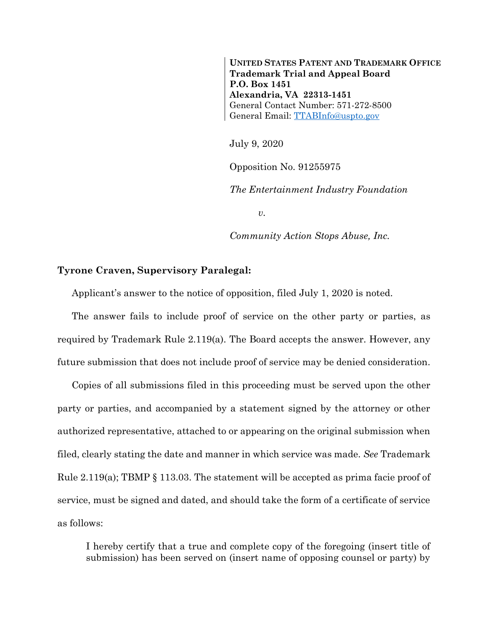**UNITED STATES PATENT AND TRADEMARK OFFICE Trademark Trial and Appeal Board P.O. Box 1451 Alexandria, VA 22313-1451** General Contact Number: 571-272-8500 General Email: [TTABInfo@uspto.gov](mailto:TTABInfo@uspto.gov)

July 9, 2020

Opposition No. 91255975

*The Entertainment Industry Foundation*

*v.*

*Community Action Stops Abuse, Inc.*

## **Tyrone Craven, Supervisory Paralegal:**

Applicant's answer to the notice of opposition, filed July 1, 2020 is noted.

The answer fails to include proof of service on the other party or parties, as required by Trademark Rule 2.119(a). The Board accepts the answer. However, any future submission that does not include proof of service may be denied consideration.

Copies of all submissions filed in this proceeding must be served upon the other party or parties, and accompanied by a statement signed by the attorney or other authorized representative, attached to or appearing on the original submission when filed, clearly stating the date and manner in which service was made. *See* Trademark Rule 2.119(a); TBMP § 113.03. The statement will be accepted as prima facie proof of service, must be signed and dated, and should take the form of a certificate of service as follows:

I hereby certify that a true and complete copy of the foregoing (insert title of submission) has been served on (insert name of opposing counsel or party) by